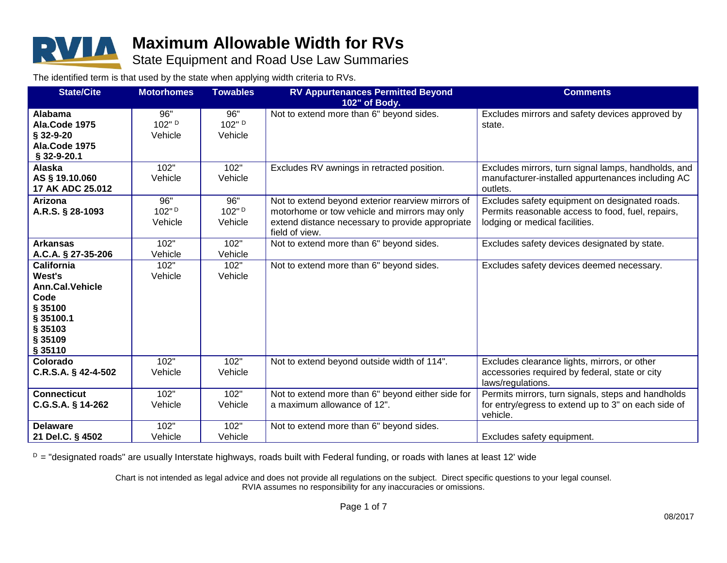

State Equipment and Road Use Law Summaries

The identified term is that used by the state when applying width criteria to RVs.

| <b>State/Cite</b>      | <b>Motorhomes</b> | <b>Towables</b> | <b>RV Appurtenances Permitted Beyond</b>          | <b>Comments</b>                                     |
|------------------------|-------------------|-----------------|---------------------------------------------------|-----------------------------------------------------|
|                        |                   |                 | 102" of Body.                                     |                                                     |
| Alabama                | 96"               | 96"             | Not to extend more than 6" beyond sides.          | Excludes mirrors and safety devices approved by     |
| Ala.Code 1975          | 102" D            | 102" D          |                                                   | state.                                              |
| § 32-9-20              | Vehicle           | Vehicle         |                                                   |                                                     |
| Ala.Code 1975          |                   |                 |                                                   |                                                     |
| § 32-9-20.1            |                   |                 |                                                   |                                                     |
| Alaska                 | 102"              | 102"            | Excludes RV awnings in retracted position.        | Excludes mirrors, turn signal lamps, handholds, and |
| AS § 19.10.060         | Vehicle           | Vehicle         |                                                   | manufacturer-installed appurtenances including AC   |
| 17 AK ADC 25.012       |                   |                 |                                                   | outlets.                                            |
| Arizona                | 96"               | 96"             | Not to extend beyond exterior rearview mirrors of | Excludes safety equipment on designated roads.      |
| A.R.S. § 28-1093       | 102"D             | 102"D           | motorhome or tow vehicle and mirrors may only     | Permits reasonable access to food, fuel, repairs,   |
|                        | Vehicle           | Vehicle         | extend distance necessary to provide appropriate  | lodging or medical facilities.                      |
|                        |                   |                 | field of view.                                    |                                                     |
| <b>Arkansas</b>        | 102"              | 102"            | Not to extend more than 6" beyond sides.          | Excludes safety devices designated by state.        |
| A.C.A. § 27-35-206     | Vehicle           | Vehicle         |                                                   |                                                     |
| <b>California</b>      | 102"              | 102"            | Not to extend more than 6" beyond sides.          | Excludes safety devices deemed necessary.           |
| West's                 | Vehicle           | Vehicle         |                                                   |                                                     |
| <b>Ann.Cal.Vehicle</b> |                   |                 |                                                   |                                                     |
| Code                   |                   |                 |                                                   |                                                     |
| § 35100                |                   |                 |                                                   |                                                     |
| § 35100.1              |                   |                 |                                                   |                                                     |
| § 35103                |                   |                 |                                                   |                                                     |
| § 35109                |                   |                 |                                                   |                                                     |
| § 35110                |                   |                 |                                                   |                                                     |
| Colorado               | 102"              | 102"            | Not to extend beyond outside width of 114".       | Excludes clearance lights, mirrors, or other        |
| C.R.S.A. § 42-4-502    | Vehicle           | Vehicle         |                                                   | accessories required by federal, state or city      |
|                        |                   |                 |                                                   | laws/regulations.                                   |
| <b>Connecticut</b>     | 102"              | 102"            | Not to extend more than 6" beyond either side for | Permits mirrors, turn signals, steps and handholds  |
| C.G.S.A. § 14-262      | Vehicle           | Vehicle         | a maximum allowance of 12".                       | for entry/egress to extend up to 3" on each side of |
|                        |                   |                 |                                                   | vehicle.                                            |
| <b>Delaware</b>        | 102"              | 102"            | Not to extend more than 6" beyond sides.          |                                                     |
| 21 Del.C. § 4502       | Vehicle           | Vehicle         |                                                   | Excludes safety equipment.                          |

 $D =$  "designated roads" are usually Interstate highways, roads built with Federal funding, or roads with lanes at least 12' wide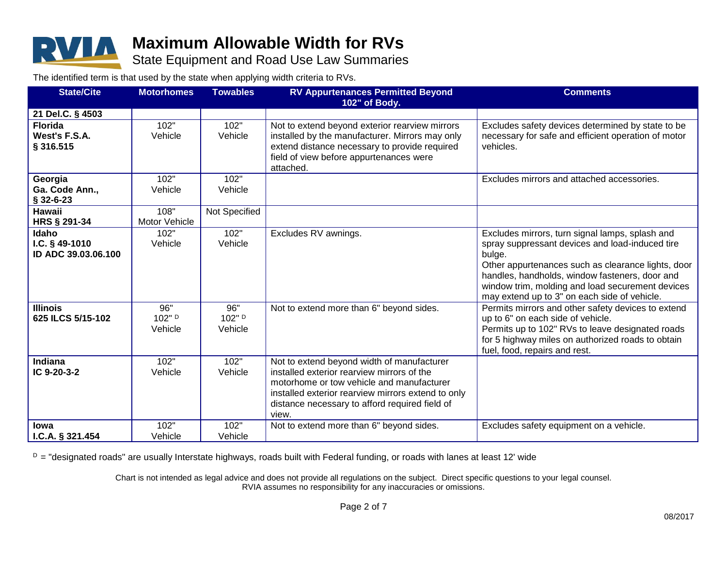

State Equipment and Road Use Law Summaries

The identified term is that used by the state when applying width criteria to RVs.

| <b>State/Cite</b>   | <b>Motorhomes</b> | <b>Towables</b> | <b>RV Appurtenances Permitted Beyond</b>           | <b>Comments</b>                                                                                  |
|---------------------|-------------------|-----------------|----------------------------------------------------|--------------------------------------------------------------------------------------------------|
|                     |                   |                 | 102" of Body.                                      |                                                                                                  |
| 21 Del.C. § 4503    |                   |                 |                                                    |                                                                                                  |
| <b>Florida</b>      | 102"              | 102"            | Not to extend beyond exterior rearview mirrors     | Excludes safety devices determined by state to be                                                |
| West's F.S.A.       | Vehicle           | Vehicle         | installed by the manufacturer. Mirrors may only    | necessary for safe and efficient operation of motor                                              |
| § 316.515           |                   |                 | extend distance necessary to provide required      | vehicles.                                                                                        |
|                     |                   |                 | field of view before appurtenances were            |                                                                                                  |
|                     |                   |                 | attached.                                          |                                                                                                  |
| Georgia             | 102"              | 102"            |                                                    | Excludes mirrors and attached accessories.                                                       |
| Ga. Code Ann.,      | Vehicle           | Vehicle         |                                                    |                                                                                                  |
| $$32-6-23$          |                   |                 |                                                    |                                                                                                  |
| Hawaii              | 108"              | Not Specified   |                                                    |                                                                                                  |
| HRS § 291-34        | Motor Vehicle     |                 |                                                    |                                                                                                  |
| Idaho               | 102"              | 102"            | Excludes RV awnings.                               | Excludes mirrors, turn signal lamps, splash and                                                  |
| I.C. $§$ 49-1010    | Vehicle           | Vehicle         |                                                    | spray suppressant devices and load-induced tire                                                  |
| ID ADC 39.03.06.100 |                   |                 |                                                    | bulge.                                                                                           |
|                     |                   |                 |                                                    | Other appurtenances such as clearance lights, door                                               |
|                     |                   |                 |                                                    | handles, handholds, window fasteners, door and                                                   |
|                     |                   |                 |                                                    | window trim, molding and load securement devices<br>may extend up to 3" on each side of vehicle. |
| <b>Illinois</b>     | 96"               | 96"             | Not to extend more than 6" beyond sides.           | Permits mirrors and other safety devices to extend                                               |
| 625 ILCS 5/15-102   | 102" D            | 102" D          |                                                    | up to 6" on each side of vehicle.                                                                |
|                     | Vehicle           | Vehicle         |                                                    | Permits up to 102" RVs to leave designated roads                                                 |
|                     |                   |                 |                                                    | for 5 highway miles on authorized roads to obtain                                                |
|                     |                   |                 |                                                    | fuel, food, repairs and rest.                                                                    |
| Indiana             | 102"              | 102"            | Not to extend beyond width of manufacturer         |                                                                                                  |
| IC 9-20-3-2         | Vehicle           | Vehicle         | installed exterior rearview mirrors of the         |                                                                                                  |
|                     |                   |                 | motorhome or tow vehicle and manufacturer          |                                                                                                  |
|                     |                   |                 | installed exterior rearview mirrors extend to only |                                                                                                  |
|                     |                   |                 | distance necessary to afford required field of     |                                                                                                  |
|                     |                   |                 | view.                                              |                                                                                                  |
| <b>lowa</b>         | 102"              | 102"            | Not to extend more than 6" beyond sides.           | Excludes safety equipment on a vehicle.                                                          |
| 1.C.A. § 321.454    | Vehicle           | Vehicle         |                                                    |                                                                                                  |

 $D =$  "designated roads" are usually Interstate highways, roads built with Federal funding, or roads with lanes at least 12' wide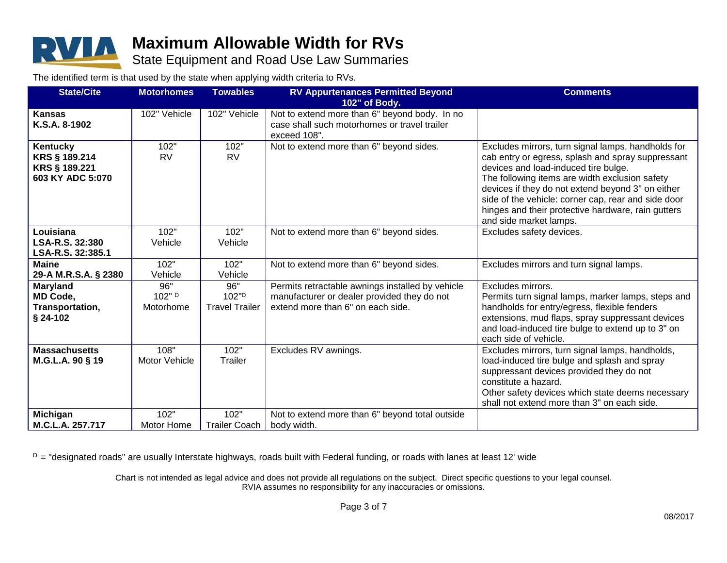

#### State Equipment and Road Use Law Summaries

The identified term is that used by the state when applying width criteria to RVs.

| <b>State/Cite</b>         | <b>Motorhomes</b> | <b>Towables</b>       | <b>RV Appurtenances Permitted Beyond</b>         | <b>Comments</b>                                                                           |
|---------------------------|-------------------|-----------------------|--------------------------------------------------|-------------------------------------------------------------------------------------------|
|                           |                   |                       | 102" of Body.                                    |                                                                                           |
| <b>Kansas</b>             | 102" Vehicle      | 102" Vehicle          | Not to extend more than 6" beyond body. In no    |                                                                                           |
| K.S.A. 8-1902             |                   |                       | case shall such motorhomes or travel trailer     |                                                                                           |
|                           | 102"              | 102"                  | exceed 108".                                     |                                                                                           |
| Kentucky<br>KRS § 189.214 | <b>RV</b>         | <b>RV</b>             | Not to extend more than 6" beyond sides.         | Excludes mirrors, turn signal lamps, handholds for                                        |
| KRS § 189.221             |                   |                       |                                                  | cab entry or egress, splash and spray suppressant<br>devices and load-induced tire bulge. |
| 603 KY ADC 5:070          |                   |                       |                                                  | The following items are width exclusion safety                                            |
|                           |                   |                       |                                                  | devices if they do not extend beyond 3" on either                                         |
|                           |                   |                       |                                                  | side of the vehicle: corner cap, rear and side door                                       |
|                           |                   |                       |                                                  | hinges and their protective hardware, rain gutters                                        |
|                           |                   |                       |                                                  | and side market lamps.                                                                    |
| Louisiana                 | 102"              | 102"                  | Not to extend more than 6" beyond sides.         | Excludes safety devices.                                                                  |
| LSA-R.S. 32:380           | Vehicle           | Vehicle               |                                                  |                                                                                           |
| LSA-R.S. 32:385.1         |                   |                       |                                                  |                                                                                           |
| <b>Maine</b>              | 102"              | 102"                  | Not to extend more than 6" beyond sides.         | Excludes mirrors and turn signal lamps.                                                   |
| 29-A M.R.S.A. § 2380      | Vehicle           | Vehicle               |                                                  |                                                                                           |
| <b>Maryland</b>           | 96"               | 96"                   | Permits retractable awnings installed by vehicle | Excludes mirrors.                                                                         |
| <b>MD Code,</b>           | 102" D            | 102"D                 | manufacturer or dealer provided they do not      | Permits turn signal lamps, marker lamps, steps and                                        |
| Transportation,           | Motorhome         | <b>Travel Trailer</b> | extend more than 6" on each side.                | handholds for entry/egress, flexible fenders                                              |
| $$24-102$                 |                   |                       |                                                  | extensions, mud flaps, spray suppressant devices                                          |
|                           |                   |                       |                                                  | and load-induced tire bulge to extend up to 3" on                                         |
|                           |                   |                       |                                                  | each side of vehicle.                                                                     |
| <b>Massachusetts</b>      | 108"              | 102"                  | Excludes RV awnings.                             | Excludes mirrors, turn signal lamps, handholds,                                           |
| M.G.L.A. 90 § 19          | Motor Vehicle     | Trailer               |                                                  | load-induced tire bulge and splash and spray                                              |
|                           |                   |                       |                                                  | suppressant devices provided they do not                                                  |
|                           |                   |                       |                                                  | constitute a hazard.                                                                      |
|                           |                   |                       |                                                  | Other safety devices which state deems necessary                                          |
|                           |                   |                       |                                                  | shall not extend more than 3" on each side.                                               |
| <b>Michigan</b>           | 102"              | 102"                  | Not to extend more than 6" beyond total outside  |                                                                                           |
| M.C.L.A. 257.717          | Motor Home        | <b>Trailer Coach</b>  | body width.                                      |                                                                                           |

 $D =$  "designated roads" are usually Interstate highways, roads built with Federal funding, or roads with lanes at least 12' wide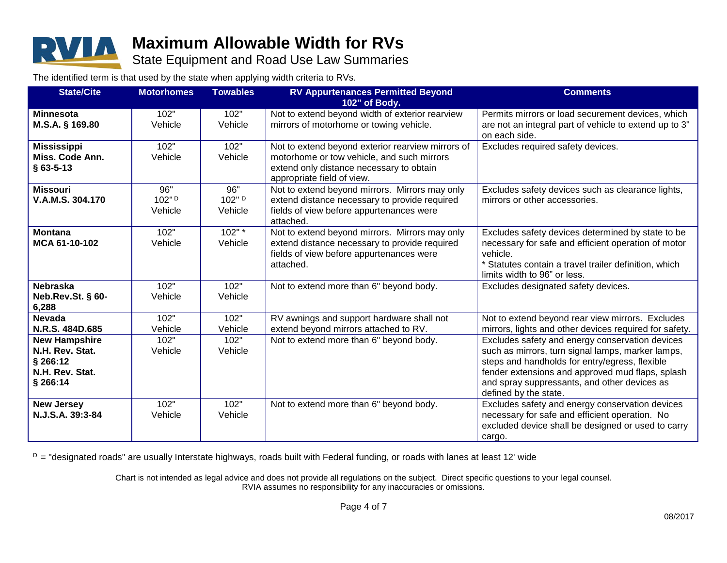

State Equipment and Road Use Law Summaries

The identified term is that used by the state when applying width criteria to RVs.

| <b>State/Cite</b>           | <b>Motorhomes</b> | <b>Towables</b> | <b>RV Appurtenances Permitted Beyond</b>                               | <b>Comments</b>                                                                                  |
|-----------------------------|-------------------|-----------------|------------------------------------------------------------------------|--------------------------------------------------------------------------------------------------|
|                             |                   |                 | 102" of Body.                                                          |                                                                                                  |
| <b>Minnesota</b>            | 102"              | 102"            | Not to extend beyond width of exterior rearview                        | Permits mirrors or load securement devices, which                                                |
| M.S.A. § 169.80             | Vehicle           | Vehicle         | mirrors of motorhome or towing vehicle.                                | are not an integral part of vehicle to extend up to 3"                                           |
|                             |                   |                 |                                                                        | on each side.                                                                                    |
| <b>Mississippi</b>          | 102"              | 102"            | Not to extend beyond exterior rearview mirrors of                      | Excludes required safety devices.                                                                |
| Miss. Code Ann.             | Vehicle           | Vehicle         | motorhome or tow vehicle, and such mirrors                             |                                                                                                  |
| $§$ 63-5-13                 |                   |                 | extend only distance necessary to obtain<br>appropriate field of view. |                                                                                                  |
| <b>Missouri</b>             | 96"               | 96"             | Not to extend beyond mirrors. Mirrors may only                         | Excludes safety devices such as clearance lights,                                                |
| V.A.M.S. 304.170            | 102"D             | 102" D          | extend distance necessary to provide required                          | mirrors or other accessories.                                                                    |
|                             | Vehicle           | Vehicle         | fields of view before appurtenances were                               |                                                                                                  |
|                             |                   |                 | attached.                                                              |                                                                                                  |
| <b>Montana</b>              | 102"              | 102"            | Not to extend beyond mirrors. Mirrors may only                         | Excludes safety devices determined by state to be                                                |
| MCA 61-10-102               | Vehicle           | Vehicle         | extend distance necessary to provide required                          | necessary for safe and efficient operation of motor                                              |
|                             |                   |                 | fields of view before appurtenances were                               | vehicle.                                                                                         |
|                             |                   |                 | attached.                                                              | * Statutes contain a travel trailer definition, which                                            |
|                             |                   |                 |                                                                        | limits width to 96" or less.                                                                     |
| <b>Nebraska</b>             | 102"              | 102"            | Not to extend more than 6" beyond body.                                | Excludes designated safety devices.                                                              |
| Neb.Rev.St. § 60-<br>6,288  | Vehicle           | Vehicle         |                                                                        |                                                                                                  |
| <b>Nevada</b>               | 102"              | 102"            | RV awnings and support hardware shall not                              | Not to extend beyond rear view mirrors. Excludes                                                 |
| N.R.S. 484D.685             | Vehicle           | Vehicle         | extend beyond mirrors attached to RV.                                  | mirrors, lights and other devices required for safety.                                           |
| <b>New Hampshire</b>        | 102"              | 102"            | Not to extend more than 6" beyond body.                                | Excludes safety and energy conservation devices                                                  |
| N.H. Rev. Stat.             | Vehicle           | Vehicle         |                                                                        | such as mirrors, turn signal lamps, marker lamps,                                                |
| § 266:12                    |                   |                 |                                                                        | steps and handholds for entry/egress, flexible                                                   |
| N.H. Rev. Stat.<br>§ 266:14 |                   |                 |                                                                        | fender extensions and approved mud flaps, splash<br>and spray suppressants, and other devices as |
|                             |                   |                 |                                                                        | defined by the state.                                                                            |
| <b>New Jersey</b>           | 102"              | 102"            | Not to extend more than 6" beyond body.                                | Excludes safety and energy conservation devices                                                  |
| N.J.S.A. 39:3-84            | Vehicle           | Vehicle         |                                                                        | necessary for safe and efficient operation. No                                                   |
|                             |                   |                 |                                                                        | excluded device shall be designed or used to carry                                               |
|                             |                   |                 |                                                                        | cargo.                                                                                           |

 $D =$  "designated roads" are usually Interstate highways, roads built with Federal funding, or roads with lanes at least 12' wide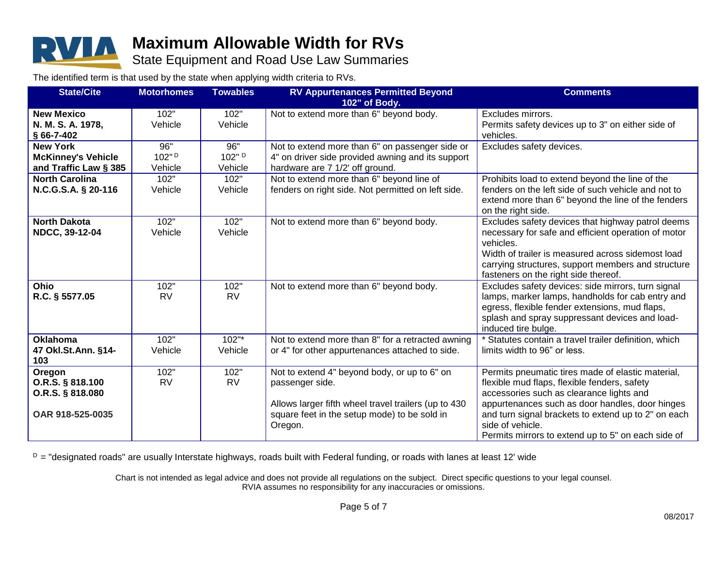

State Equipment and Road Use Law Summaries

The identified term is that used by the state when applying width criteria to RVs.

| <b>State/Cite</b>         | <b>Motorhomes</b> | <b>Towables</b> | <b>RV Appurtenances Permitted Beyond</b>             | <b>Comments</b>                                       |
|---------------------------|-------------------|-----------------|------------------------------------------------------|-------------------------------------------------------|
|                           |                   |                 | 102" of Body.                                        |                                                       |
| <b>New Mexico</b>         | 102"              | 102"            | Not to extend more than 6" beyond body.              | Excludes mirrors.                                     |
| N. M. S. A. 1978,         | Vehicle           | Vehicle         |                                                      | Permits safety devices up to 3" on either side of     |
| $§$ 66-7-402              |                   |                 |                                                      | vehicles.                                             |
| <b>New York</b>           | 96"               | 96"             | Not to extend more than 6" on passenger side or      | Excludes safety devices.                              |
| <b>McKinney's Vehicle</b> | 102"D             | 102" D          | 4" on driver side provided awning and its support    |                                                       |
| and Traffic Law § 385     | Vehicle           | Vehicle         | hardware are 7 1/2' off ground.                      |                                                       |
| <b>North Carolina</b>     | 102"              | 102"            | Not to extend more than 6" beyond line of            | Prohibits load to extend beyond the line of the       |
| N.C.G.S.A. § 20-116       | Vehicle           | Vehicle         | fenders on right side. Not permitted on left side.   | fenders on the left side of such vehicle and not to   |
|                           |                   |                 |                                                      | extend more than 6" beyond the line of the fenders    |
|                           |                   |                 |                                                      | on the right side.                                    |
| <b>North Dakota</b>       | 102"              | 102"            | Not to extend more than 6" beyond body.              | Excludes safety devices that highway patrol deems     |
| NDCC, 39-12-04            | Vehicle           | Vehicle         |                                                      | necessary for safe and efficient operation of motor   |
|                           |                   |                 |                                                      | vehicles.                                             |
|                           |                   |                 |                                                      | Width of trailer is measured across sidemost load     |
|                           |                   |                 |                                                      | carrying structures, support members and structure    |
|                           |                   |                 |                                                      | fasteners on the right side thereof.                  |
| <b>Ohio</b>               | 102"              | 102"            | Not to extend more than 6" beyond body.              | Excludes safety devices: side mirrors, turn signal    |
| R.C. § 5577.05            | <b>RV</b>         | <b>RV</b>       |                                                      | lamps, marker lamps, handholds for cab entry and      |
|                           |                   |                 |                                                      | egress, flexible fender extensions, mud flaps,        |
|                           |                   |                 |                                                      | splash and spray suppressant devices and load-        |
|                           |                   |                 |                                                      | induced tire bulge.                                   |
| <b>Oklahoma</b>           | 102"              | 102"            | Not to extend more than 8" for a retracted awning    | * Statutes contain a travel trailer definition, which |
| 47 Okl.St.Ann. §14-       | Vehicle           | Vehicle         | or 4" for other appurtenances attached to side.      | limits width to 96" or less.                          |
| 103                       |                   |                 |                                                      |                                                       |
| Oregon                    | 102"              | 102"            | Not to extend 4" beyond body, or up to 6" on         | Permits pneumatic tires made of elastic material,     |
| O.R.S. § 818.100          | <b>RV</b>         | <b>RV</b>       | passenger side.                                      | flexible mud flaps, flexible fenders, safety          |
| O.R.S. § 818.080          |                   |                 |                                                      | accessories such as clearance lights and              |
|                           |                   |                 | Allows larger fifth wheel travel trailers (up to 430 | appurtenances such as door handles, door hinges       |
| OAR 918-525-0035          |                   |                 | square feet in the setup mode) to be sold in         | and turn signal brackets to extend up to 2" on each   |
|                           |                   |                 | Oregon.                                              | side of vehicle.                                      |
|                           |                   |                 |                                                      | Permits mirrors to extend up to 5" on each side of    |

 $D =$  "designated roads" are usually Interstate highways, roads built with Federal funding, or roads with lanes at least 12' wide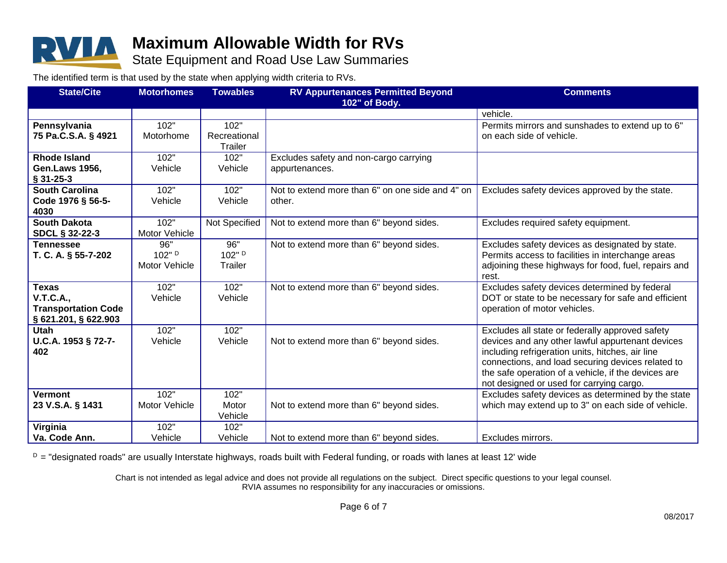

State Equipment and Road Use Law Summaries

The identified term is that used by the state when applying width criteria to RVs.

| <b>State/Cite</b>          | <b>Motorhomes</b>    | <b>Towables</b>  | <b>RV Appurtenances Permitted Beyond</b>         | <b>Comments</b>                                                                                |
|----------------------------|----------------------|------------------|--------------------------------------------------|------------------------------------------------------------------------------------------------|
| 102" of Body.              |                      |                  |                                                  |                                                                                                |
|                            |                      |                  |                                                  | vehicle.                                                                                       |
| Pennsylvania               | 102"                 | 102"             |                                                  | Permits mirrors and sunshades to extend up to 6"                                               |
| 75 Pa.C.S.A. § 4921        | Motorhome            | Recreational     |                                                  | on each side of vehicle.                                                                       |
|                            |                      | Trailer          |                                                  |                                                                                                |
| <b>Rhode Island</b>        | 102"                 | 102"             | Excludes safety and non-cargo carrying           |                                                                                                |
| <b>Gen.Laws 1956,</b>      | Vehicle              | Vehicle          | appurtenances.                                   |                                                                                                |
| $§$ 31-25-3                |                      |                  |                                                  |                                                                                                |
| <b>South Carolina</b>      | 102"                 | 102"             | Not to extend more than 6" on one side and 4" on | Excludes safety devices approved by the state.                                                 |
| Code 1976 § 56-5-          | Vehicle              | Vehicle          | other.                                           |                                                                                                |
| 4030                       |                      |                  |                                                  |                                                                                                |
| <b>South Dakota</b>        | 102"                 | Not Specified    | Not to extend more than 6" beyond sides.         | Excludes required safety equipment.                                                            |
| <b>SDCL § 32-22-3</b>      | Motor Vehicle        |                  |                                                  |                                                                                                |
| <b>Tennessee</b>           | 96"                  | 96"              | Not to extend more than 6" beyond sides.         | Excludes safety devices as designated by state.                                                |
| T. C. A. § 55-7-202        | 102" D               | 102" D           |                                                  | Permits access to facilities in interchange areas                                              |
|                            | <b>Motor Vehicle</b> | Trailer          |                                                  | adjoining these highways for food, fuel, repairs and                                           |
|                            |                      |                  |                                                  | rest.                                                                                          |
| <b>Texas</b>               | 102"                 | 102"             | Not to extend more than 6" beyond sides.         | Excludes safety devices determined by federal                                                  |
| <b>V.T.C.A.,</b>           | Vehicle              | Vehicle          |                                                  | DOT or state to be necessary for safe and efficient                                            |
| <b>Transportation Code</b> |                      |                  |                                                  | operation of motor vehicles.                                                                   |
| § 621.201, § 622.903       |                      |                  |                                                  |                                                                                                |
| <b>Utah</b>                | 102"                 | 102"             |                                                  | Excludes all state or federally approved safety                                                |
| U.C.A. 1953 § 72-7-        | Vehicle              | Vehicle          | Not to extend more than 6" beyond sides.         | devices and any other lawful appurtenant devices                                               |
| 402                        |                      |                  |                                                  | including refrigeration units, hitches, air line                                               |
|                            |                      |                  |                                                  | connections, and load securing devices related to                                              |
|                            |                      |                  |                                                  | the safe operation of a vehicle, if the devices are                                            |
| <b>Vermont</b>             | 102"                 | 102"             |                                                  | not designed or used for carrying cargo.<br>Excludes safety devices as determined by the state |
|                            |                      |                  |                                                  |                                                                                                |
| 23 V.S.A. § 1431           | Motor Vehicle        | Motor<br>Vehicle | Not to extend more than 6" beyond sides.         | which may extend up to 3" on each side of vehicle.                                             |
| Virginia                   | 102"                 | 102"             |                                                  |                                                                                                |
| Va. Code Ann.              | Vehicle              | Vehicle          | Not to extend more than 6" beyond sides.         | Excludes mirrors.                                                                              |
|                            |                      |                  |                                                  |                                                                                                |

 $D =$  "designated roads" are usually Interstate highways, roads built with Federal funding, or roads with lanes at least 12' wide